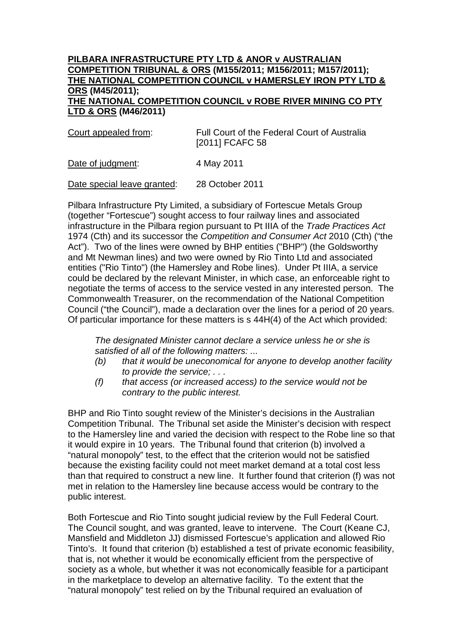## **PILBARA INFRASTRUCTURE PTY LTD & ANOR v AUSTRALIAN COMPETITION TRIBUNAL & ORS (M155/2011; M156/2011; M157/2011); THE NATIONAL COMPETITION COUNCIL v HAMERSLEY IRON PTY LTD & ORS (M45/2011); THE NATIONAL COMPETITION COUNCIL v ROBE RIVER MINING CO PTY LTD & ORS (M46/2011)**

| Court appealed from: | Full Court of the Federal Court of Australia |
|----------------------|----------------------------------------------|
|                      | [2011] FCAFC 58                              |
|                      |                                              |

Date of judgment: 4 May 2011

Date special leave granted: 28 October 2011

Pilbara Infrastructure Pty Limited, a subsidiary of Fortescue Metals Group (together "Fortescue") sought access to four railway lines and associated infrastructure in the Pilbara region pursuant to Pt IIIA of the *Trade Practices Act* 1974 (Cth) and its successor the *Competition and Consumer Act* 2010 (Cth) ("the Act"). Two of the lines were owned by BHP entities ("BHP") (the Goldsworthy and Mt Newman lines) and two were owned by Rio Tinto Ltd and associated entities ("Rio Tinto") (the Hamersley and Robe lines). Under Pt IIIA, a service could be declared by the relevant Minister, in which case, an enforceable right to negotiate the terms of access to the service vested in any interested person. The Commonwealth Treasurer, on the recommendation of the National Competition Council ("the Council"), made a declaration over the lines for a period of 20 years. Of particular importance for these matters is s 44H(4) of the Act which provided:

*The designated Minister cannot declare a service unless he or she is satisfied of all of the following matters: ...*

- *(b) that it would be uneconomical for anyone to develop another facility to provide the service; . . .*
- *(f) that access (or increased access) to the service would not be contrary to the public interest.*

BHP and Rio Tinto sought review of the Minister's decisions in the Australian Competition Tribunal. The Tribunal set aside the Minister's decision with respect to the Hamersley line and varied the decision with respect to the Robe line so that it would expire in 10 years. The Tribunal found that criterion (b) involved a "natural monopoly" test, to the effect that the criterion would not be satisfied because the existing facility could not meet market demand at a total cost less than that required to construct a new line. It further found that criterion (f) was not met in relation to the Hamersley line because access would be contrary to the public interest.

Both Fortescue and Rio Tinto sought judicial review by the Full Federal Court. The Council sought, and was granted, leave to intervene. The Court (Keane CJ, Mansfield and Middleton JJ) dismissed Fortescue's application and allowed Rio Tinto's. It found that criterion (b) established a test of private economic feasibility, that is, not whether it would be economically efficient from the perspective of society as a whole, but whether it was not economically feasible for a participant in the marketplace to develop an alternative facility. To the extent that the "natural monopoly" test relied on by the Tribunal required an evaluation of